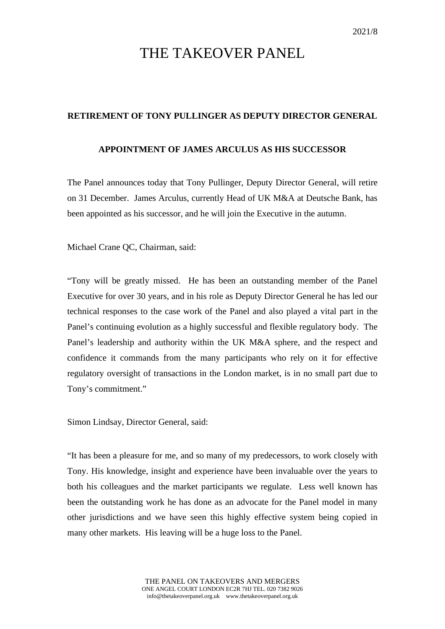## THE TAKEOVER PANEL

## **RETIREMENT OF TONY PULLINGER AS DEPUTY DIRECTOR GENERAL**

## **APPOINTMENT OF JAMES ARCULUS AS HIS SUCCESSOR**

The Panel announces today that Tony Pullinger, Deputy Director General, will retire on 31 December. James Arculus, currently Head of UK M&A at Deutsche Bank, has been appointed as his successor, and he will join the Executive in the autumn.

Michael Crane QC, Chairman, said:

"Tony will be greatly missed. He has been an outstanding member of the Panel Executive for over 30 years, and in his role as Deputy Director General he has led our technical responses to the case work of the Panel and also played a vital part in the Panel's continuing evolution as a highly successful and flexible regulatory body. The Panel's leadership and authority within the UK M&A sphere, and the respect and confidence it commands from the many participants who rely on it for effective regulatory oversight of transactions in the London market, is in no small part due to Tony's commitment."

Simon Lindsay, Director General, said:

"It has been a pleasure for me, and so many of my predecessors, to work closely with Tony. His knowledge, insight and experience have been invaluable over the years to both his colleagues and the market participants we regulate. Less well known has been the outstanding work he has done as an advocate for the Panel model in many other jurisdictions and we have seen this highly effective system being copied in many other markets. His leaving will be a huge loss to the Panel.